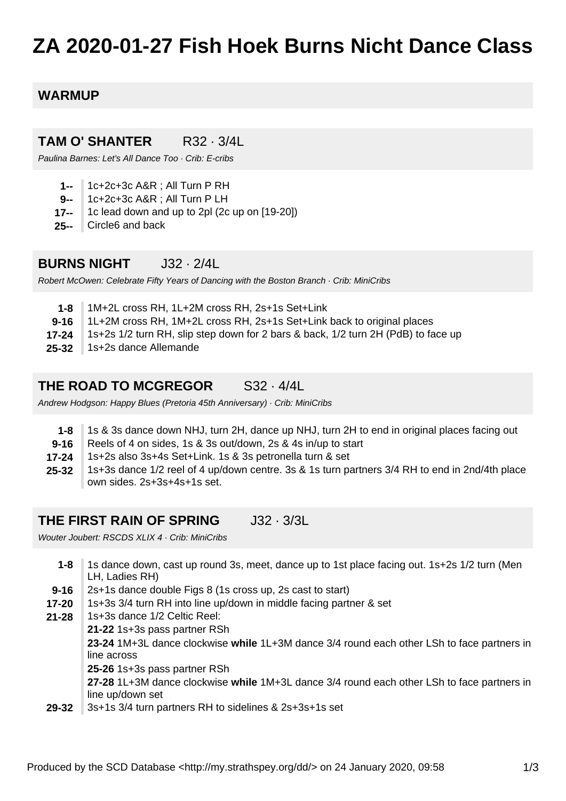# **ZA 2020-01-27 Fish Hoek Burns Nicht Dance Class**

### **WARMUP**

#### **TAM O' SHANTER** R32 · 3/4L

Paulina Barnes: Let's All Dance Too · Crib: E-cribs

- **1--** 1c+2c+3c A&R ; All Turn P RH
- **9--** 1c+2c+3c A&R ; All Turn P LH
- **17--** 1c lead down and up to 2pl (2c up on [19-20])
- **25--** Circle6 and back

#### **BURNS NIGHT** J32 · 2/4L

Robert McOwen: Celebrate Fifty Years of Dancing with the Boston Branch · Crib: MiniCribs

- **1-8** 1M+2L cross RH, 1L+2M cross RH, 2s+1s Set+Link
- **9-16** 1L+2M cross RH, 1M+2L cross RH, 2s+1s Set+Link back to original places
- **17-24** 1s+2s 1/2 turn RH, slip step down for 2 bars & back, 1/2 turn 2H (PdB) to face up
- **25-32** 1s+2s dance Allemande

#### **THE ROAD TO MCGREGOR** S32 · 4/4L

Andrew Hodgson: Happy Blues (Pretoria 45th Anniversary) · Crib: MiniCribs

- **1-8** 1s & 3s dance down NHJ, turn 2H, dance up NHJ, turn 2H to end in original places facing out
- **9-16** Reels of 4 on sides, 1s & 3s out/down, 2s & 4s in/up to start
- **17-24** 1s+2s also 3s+4s Set+Link. 1s & 3s petronella turn & set
- **25-32** 1s+3s dance 1/2 reel of 4 up/down centre. 3s & 1s turn partners 3/4 RH to end in 2nd/4th place own sides. 2s+3s+4s+1s set.

#### **THE FIRST RAIN OF SPRING** J32 · 3/3L

Wouter Joubert: RSCDS XLIX 4 · Crib: MiniCribs

| $1 - 8$   | 1s dance down, cast up round 3s, meet, dance up to 1st place facing out. 1s+2s 1/2 turn (Men |
|-----------|----------------------------------------------------------------------------------------------|
|           | LH, Ladies RH)                                                                               |
| $9 - 16$  | 2s+1s dance double Figs 8 (1s cross up, 2s cast to start)                                    |
| $17 - 20$ | 1s+3s 3/4 turn RH into line up/down in middle facing partner & set                           |
| $21 - 28$ | 1s+3s dance 1/2 Celtic Reel:                                                                 |
|           | 21-22 1s+3s pass partner RSh                                                                 |
|           | 23-24 1M+3L dance clockwise while 1L+3M dance 3/4 round each other LSh to face partners in   |
|           | line across                                                                                  |
|           | 25-26 1s+3s pass partner RSh                                                                 |
|           | 27-28 1L+3M dance clockwise while 1M+3L dance 3/4 round each other LSh to face partners in   |
|           | line up/down set                                                                             |
| 29-32     | 3s+1s 3/4 turn partners RH to sidelines & 2s+3s+1s set                                       |
|           |                                                                                              |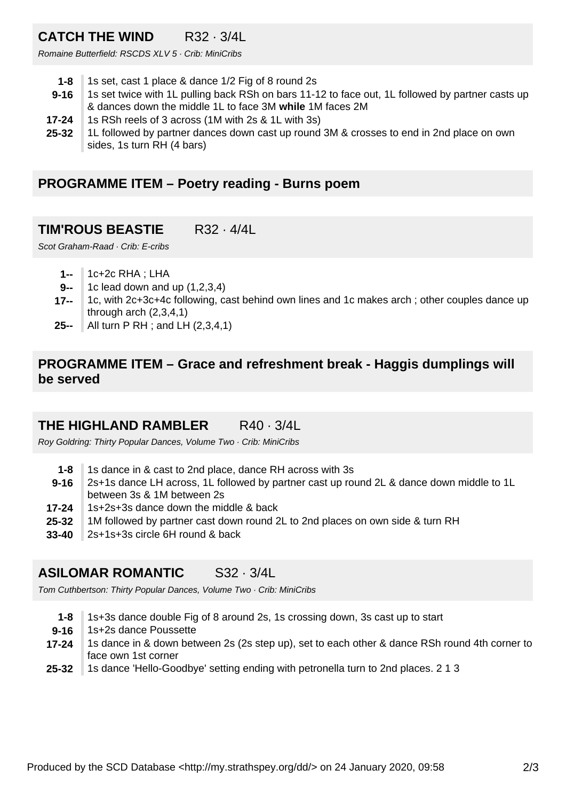# **CATCH THE WIND** R32 · 3/4L

Romaine Butterfield: RSCDS XLV 5 · Crib: MiniCribs

- **1-8** 1s set, cast 1 place & dance 1/2 Fig of 8 round 2s
- **9-16** 1s set twice with 1L pulling back RSh on bars 11-12 to face out, 1L followed by partner casts up & dances down the middle 1L to face 3M **while** 1M faces 2M
- **17-24** 1s RSh reels of 3 across (1M with 2s & 1L with 3s)
- **25-32** 1L followed by partner dances down cast up round 3M & crosses to end in 2nd place on own sides, 1s turn RH (4 bars)

#### **PROGRAMME ITEM – Poetry reading - Burns poem**

## **TIM'ROUS BEASTIE** R32 · 4/4L

Scot Graham-Raad · Crib: E-cribs

- **1--** 1c+2c RHA ; LHA
- **9--** 1c lead down and up (1,2,3,4)
- **17--** 1c, with 2c+3c+4c following, cast behind own lines and 1c makes arch ; other couples dance up through arch (2,3,4,1)
- **25--** All turn P RH ; and LH (2,3,4,1)

#### **PROGRAMME ITEM – Grace and refreshment break - Haggis dumplings will be served**

## **THE HIGHLAND RAMBLER** R40 · 3/4L

Roy Goldring: Thirty Popular Dances, Volume Two · Crib: MiniCribs

- **1-8** 1s dance in & cast to 2nd place, dance RH across with 3s
- **9-16** 2s+1s dance LH across, 1L followed by partner cast up round 2L & dance down middle to 1L between 3s & 1M between 2s
- **17-24** 1s+2s+3s dance down the middle & back
- **25-32** 1M followed by partner cast down round 2L to 2nd places on own side & turn RH
- **33-40** 2s+1s+3s circle 6H round & back

## **ASILOMAR ROMANTIC** S32 · 3/4L

Tom Cuthbertson: Thirty Popular Dances, Volume Two · Crib: MiniCribs

- **1-8** 1s+3s dance double Fig of 8 around 2s, 1s crossing down, 3s cast up to start
- **9-16** 1s+2s dance Poussette
- **17-24** 1s dance in & down between 2s (2s step up), set to each other & dance RSh round 4th corner to face own 1st corner
- **25-32** 1s dance 'Hello-Goodbye' setting ending with petronella turn to 2nd places. 2 1 3